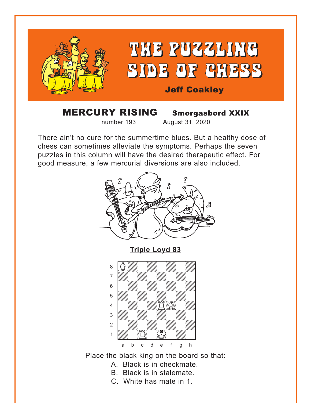<span id="page-0-0"></span>

### MERCURY RISING Smorgasbord XXIX number 193 August 31, 2020

There ain't no cure for the summertime blues. But a healthy dose of chess can sometimes alleviate the symptoms. Perhaps the seven puzzles in this column will have the desired therapeutic effect. For good measure, a few mercurial diversions are also included.





Place the black king on the board so that:

- A. Black is in checkmate.
- B. Black is in stalemate.
- C. White has mate in 1.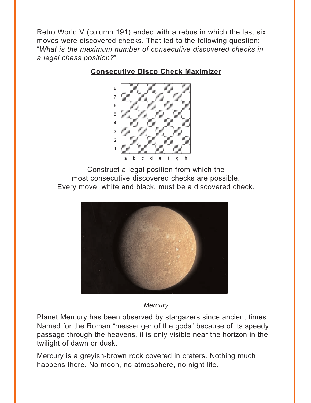<span id="page-1-0"></span>Retro World V (column 191) ended with a rebus in which the last six moves were discovered checks. That led to the following question: "*What is the maximum number of consecutive discovered checks in a legal chess position?*"

### where  $\frac{1}{2}$  is the set of  $\frac{1}{2}$  in the set of  $\frac{1}{2}$ a w*alifu, wa*n wa adwadwadwadwadwadwadwadwadwadwadwadwa 6 *William William William William Communication* **5** William William William 1 4 William William William William  $\frac{1}{\sqrt{2}}$ 2 | *William William William William 1* the contract of the contract of the contract of the contract of the contract of the contract of the contract of a b c d e f g h

### **[Consecutive Disco Check Maximizer](#page-8-0)**

Construct a legal position from which the most consecutive discovered checks are possible. Every move, white and black, must be a discovered check.



#### *Mercury*

Planet Mercury has been observed by stargazers since ancient times. Named for the Roman "messenger of the gods" because of its speedy passage through the heavens, it is only visible near the horizon in the twilight of dawn or dusk.

Mercury is a greyish-brown rock covered in craters. Nothing much happens there. No moon, no atmosphere, no night life.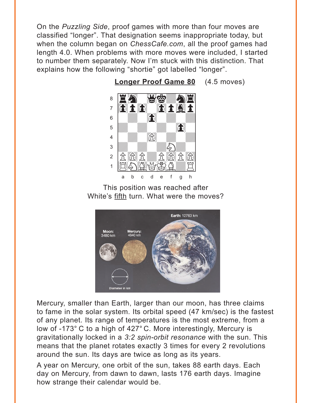<span id="page-2-0"></span>On the *Puzzling Side*, proof games with more than four moves are classified "longer". That designation seems inappropriate today, but when the column began on ChessCafe.com, all the proof games had length 4.0. When problems with more moves were included, I started to number them separately. Now I'm stuck with this distinction. That explains how the following "shortie" got labelled "longer".



Longer Proof Game 80 (4.5 moves)

This position was reached after White's fifth turn. What were the moves?



Mercury, smaller than Earth, larger than our moon, has three claims to fame in the solar system. Its orbital speed (47 km/sec) is the fastest of any planet. Its range of temperatures is the most extreme, from a low of -173° C to a high of 427° C. More interestingly, Mercury is gravitationally locked in a 3:2 spin-orbit resonance with the sun. This means that the planet rotates exactly 3 times for every 2 revolutions around the sun. Its days are twice as long as its years.

A year on Mercury, one orbit of the sun, takes 88 earth days. Each day on Mercury, from dawn to dawn, lasts 176 earth days. Imagine how strange their calendar would be.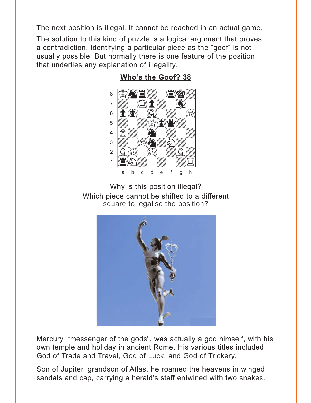<span id="page-3-0"></span>The next position is illegal. It cannot be reached in an actual game.

The solution to this kind of puzzle is a logical argument that proves a contradiction. Identifying a particular piece as the "goof" is not usually possible. But normally there is one feature of the position that underlies any explanation of illegality.



Who's the Goof? 38

Why is this position illegal? Which piece cannot be shifted to a different square to legalise the position?



Mercury, "messenger of the gods", was actually a god himself, with his own temple and holiday in ancient Rome. His various titles included God of Trade and Travel, God of Luck, and God of Trickery.

Son of Jupiter, grandson of Atlas, he roamed the heavens in winged sandals and cap, carrying a herald's staff entwined with two snakes.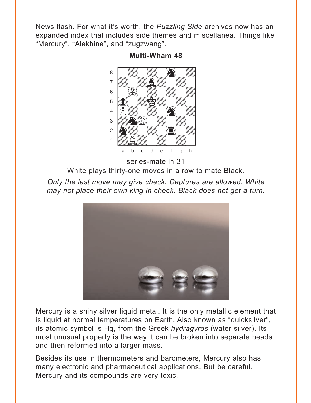<span id="page-4-0"></span>News flash. For what it's worth, the *Puzzling Side* archives now has an expanded index that includes side themes and miscellanea. Things like "Mercury", "Alekhine", and "zugzwang".

**[Multi-Wham 48](#page-11-0)**



White plays thirty-one moves in a row to mate Black.

*Only the last move may give check. Captures are allowed. White may not place their own king in check. Black does not get a turn.*



Mercury is a shiny silver liquid metal. It is the only metallic element that is liquid at normal temperatures on Earth. Also known as "quicksilver", its atomic symbol is Hg, from the Greek *hydragyros* (water silver). Its most unusual property is the way it can be broken into separate beads and then reformed into a larger mass.

Besides its use in thermometers and barometers, Mercury also has many electronic and pharmaceutical applications. But be careful. Mercury and its compounds are very toxic.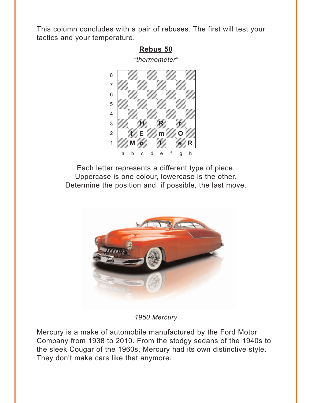<span id="page-5-0"></span>This column concludes with a pair of rebuses. The first will test your tactics and your temperature.



Each letter represents a different type of piece. Uppercase is one colour, lowercase is the other. Determine the position and, if possible, the last move.



*1950 Mercury* 

Mercury is a make of automobile manufactured by the Ford Motor Company from 1938 to 2010. From the stodgy sedans of the 1940s to the sleek Cougar of the 1960s, Mercury had its own distinctive style. They don't make cars like that anymore.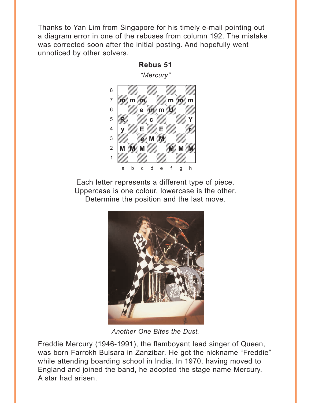<span id="page-6-0"></span>Thanks to Yan Lim from Singapore for his timely e-mail pointing out a diagram error in one of the rebuses from column 192. The mistake was corrected soon after the initial posting. And hopefully went unnoticed by other solvers.

**[Rebus 51](#page-15-0)**



Each letter represents a different type of piece. Uppercase is one colour, lowercase is the other. Determine the position and the last move.



*Another One Bites the Dust.*

Freddie Mercury (1946-1991), the flamboyant lead singer of Queen, was born Farrokh Bulsara in Zanzibar. He got the nickname "Freddie" while attending boarding school in India. In 1970, having moved to England and joined the band, he adopted the stage name Mercury. A star had arisen.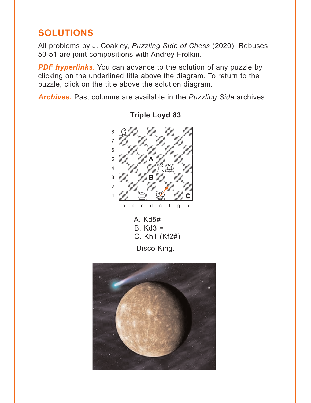# <span id="page-7-0"></span>**SOLUTIONS**

All problems by J. Coakley, *Puzzling Side of Chess* (2020). Rebuses 50-51 are joint compositions with Andrey Frolkin.

**PDF hyperlinks.** You can advance to the solution of any puzzle by clicking on the underlined title above the diagram. To return to the puzzle, click on the title above the solution diagram.

*Archives***.** Past columns are available in the *Puzzling Side* archives.





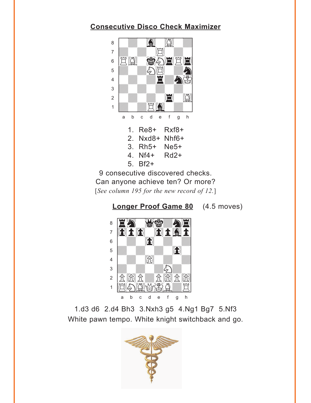### <span id="page-8-0"></span>**Consecutive Disco Check Maximizer**



9 consecutive discovered checks. Can anyone achieve ten? Or more? [See column 195 for the new record of 12.]





1.d3 d6 2.d4 Bh3 3.Nxh3 g5 4.Ng1 Bg7 5.Nf3 White pawn tempo. White knight switchback and go.

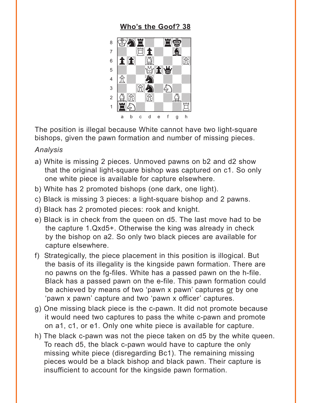### **[Who's the Goof? 38](#page-3-0)**

<span id="page-9-0"></span>

The position is illegal because White cannot have two light-square bishops, given the pawn formation and number of missing pieces.

#### *Analysis*

- a) White is missing 2 pieces. Unmoved pawns on b2 and d2 show that the original light-square bishop was captured on c1. So only one white piece is available for capture elsewhere.
- b) White has 2 promoted bishops (one dark, one light).
- c) Black is missing 3 pieces: a light-square bishop and 2 pawns.
- d) Black has 2 promoted pieces: rook and knight.
- e) Black is in check from the queen on d5. The last move had to be the capture 1.Qxd5+. Otherwise the king was already in check by the bishop on a2. So only two black pieces are available for capture elsewhere.
- f) Strategically, the piece placement in this position is illogical. But the basis of its illegality is the kingside pawn formation. There are no pawns on the fg-files. White has a passed pawn on the h-file. Black has a passed pawn on the e-file. This pawn formation could be achieved by means of two 'pawn x pawn' captures or by one 'pawn x pawn' capture and two 'pawn x officer' captures.
- g) One missing black piece is the c-pawn. It did not promote because it would need two captures to pass the white c-pawn and promote on a1, c1, or e1. Only one white piece is available for capture.
- h) The black c-pawn was not the piece taken on d5 by the white queen. To reach d5, the black c-pawn would have to capture the only missing white piece (disregarding Bc1). The remaining missing pieces would be a black bishop and black pawn. Their capture is insufficient to account for the kingside pawn formation.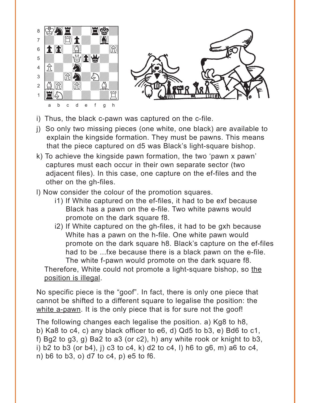

- i) Thus, the black c-pawn was captured on the c-file.
- j) So only two missing pieces (one white, one black) are available to explain the kingside formation. They must be pawns. This means that the piece captured on d5 was Black's light-square bishop.
- k) To achieve the kingside pawn formation, the two 'pawn x pawn' captures must each occur in their own separate sector (two adjacent files). In this case, one capture on the ef-files and the other on the gh-files.
- l) Now consider the colour of the promotion squares.
	- i1) If White captured on the ef-files, it had to be exf because Black has a pawn on the e-file. Two white pawns would promote on the dark square f8.
	- i2) If White captured on the gh-files, it had to be gxh because White has a pawn on the h-file. One white pawn would promote on the dark square h8. Black's capture on the ef-files had to be ...fxe because there is a black pawn on the e-file. The white f-pawn would promote on the dark square f8.

Therefore, White could not promote a light-square bishop, so the position is illegal.

No specific piece is the "goof". In fact, there is only one piece that cannot be shifted to a different square to legalise the position: the white a-pawn. It is the only piece that is for sure not the goof!

The following changes each legalise the position. a) Kg8 to h8, b) Ka8 to c4, c) any black officer to e6, d) Qd5 to b3, e) Bd6 to c1, f) Bg2 to g3, g) Ba2 to a3 (or c2), h) any white rook or knight to b3, i) b2 to b3 (or b4), j) c3 to c4, k) d2 to c4, l) h6 to g6, m) a6 to c4, n) b6 to b3, o) d7 to c4, p) e5 to f6.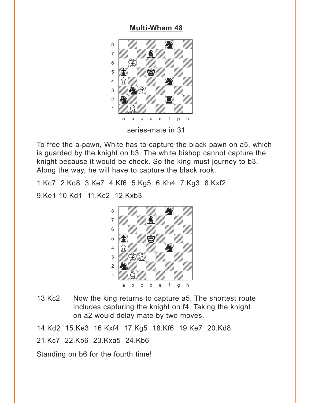#### **[Multi-Wham 48](#page-4-0)**

<span id="page-11-0"></span>

To free the a-pawn, White has to capture the black pawn on a5, which is guarded by the knight on b3. The white bishop cannot capture the knight because it would be check. So the king must journey to b3. Along the way, he will have to capture the black rook.

1.Kc7 2.Kd8 3.Ke7 4.Kf6 5.Kg5 6.Kh4 7.Kg3 8.Kxf2

9.Ke1 10.Kd1 11.Kc2 12.Kxb3



13.Kc2 Now the king returns to capture a5. The shortest route includes capturing the knight on f4. Taking the knight on a2 would delay mate by two moves.

14.Kd2 15.Ke3 16.Kxf4 17.Kg5 18.Kf6 19.Ke7 20.Kd8

21.Kc7 22.Kb6 23.Kxa5 24.Kb6

Standing on b6 for the fourth time!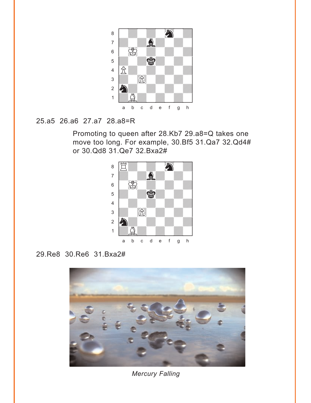

# 25.a5 26.a6 27.a7 28.a8=R

Promoting to queen after 28.Kb7 29.a8=Q takes one move too long. For example, 30.Bf5 31.Qa7 32.Qd4# or 30.Qd8 31.Qe7 32.Bxa2#



# 29.Re8 30.Re6 31.Bxa2#



*Mercury Falling*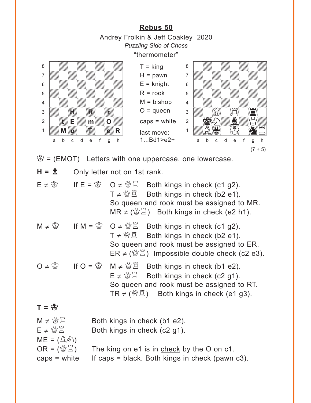<span id="page-13-0"></span>**[Rebus 50](#page-5-0)** Andrey Frolkin & Jeff Coakley 2020 *Puzzling Side of Chess* "thermometer"  $\mathcal{B} = (EMOT)$  Letters with one uppercase, one lowercase.  $H = \hat{\mathbb{Z}}$  Only letter not on 1st rank.  $E \neq \mathcal{B}$  If  $E = \mathcal{B}$  O  $\neq \mathcal{B}$  Both kings in check (c1 g2).  $T \neq \mathcal{B}\mathcal{Z}$  Both kings in check (b2 e1). So queen and rook must be assigned to MR.  $MR \neq \left(\frac{M}{2}\right)$  Both kings in check (e2 h1). M ≠  $\mathbb{S}$  If M =  $\mathbb{S}$  O ≠  $\mathbb{S}$  Both kings in check (c1 g2).  $T \neq \mathcal{B} \mathcal{Z}$  Both kings in check (b2 e1). So queen and rook must be assigned to ER.  $ER \neq \langle \check{\mathbb{Z}} \check{\mathbb{Z}} \rangle$  Impossible double check (c2 e3). O ≠  $\bullet$  If O =  $\bullet$  M ≠  $\bullet$  Example H in  $S$  in check (b1 e2).  $E \neq \mathcal{B} \mathbb{E}$  Both kings in check (c2 g1). So queen and rook must be assigned to RT.  $TR \neq \binom{M}{2}$  Both kings in check (e1 g3).  $T = \mathfrak{B}$  $M \neq \frac{M}{2}$  Both kings in check (b1 e2).  $E \neq \mathcal{B} \mathbb{E}$  Both kings in check (c2 g1).  $ME = (\hat{\mathbb{Q}}\hat{\mathbb{Q}})$  $OR = \langle \mathcal{Q} \mathbb{Z} \rangle$  The king on e1 is in check by the O on c1.  $caps = white$  If caps = black. Both kings in check (pawn c3).  $T =$ king  $H =$  pawn  $E =$  knight  $R =$ rook  $M = b$ ishop  $O =$ queen caps = white last move: 1...Bd1>e2+ with the set of the set of the set of the set of the set of the set of the set of the set of the set of the set of the set of the set of the set of the set of the set of the set of the set of the set of the set of the set a **chunga a chunga a chunga a chunga a chunga a** àdwdwdwdw] 6 William William William William  $\overline{\mathcal{L}}$ 4 William William William William  $\frac{1}{2}$  $2\frac{1}{2}$ 1*WAY* 8 21 a b c d e f g h with the set of the set of the set of the set of the set of the set of the set of the set of the set of the set of the set of the set of the set of the set of the set of the set of the set of the set of the set of the set a **chunga a chunga a chunga a chunga a chunga a** àdwdwdwdw] 6 William William William William  $\overline{\mathcal{L}}$ 4 William William William William 3 William Hollen Hollen 2 **Web E** William Milliam O William 1 WMW WA a b c d e f g h **H R r M***right Times The Reit* **R**  $(7 + 5)$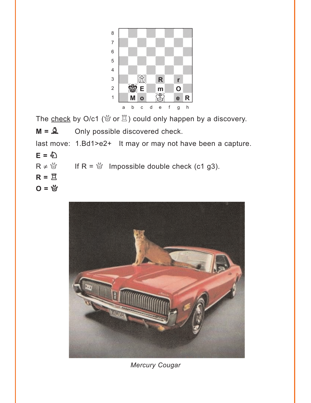

The check by O/c1 ( $\mathcal{L}$  or  $\mathbb{Z}$ ) could only happen by a discovery.

 $M = \mathbf{A}$  Only possible discovered check.

last move: 1.Bd1>e2+ It may or may not have been a capture.

 $E = \sum_{i=1}^{N}$ 

 $R \neq \frac{M}{Q}$  If  $R = \frac{M}{Q}$  Impossible double check (c1 g3).

- $R = \overline{Z}$
- **O** = 營



*Mercury Cougar*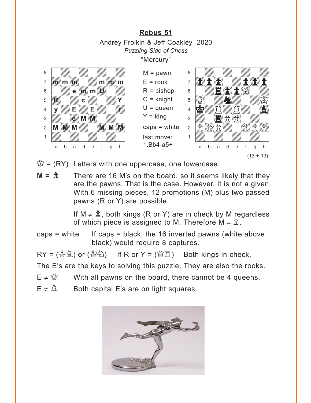# **[Rebus 51](#page-6-0)** Andrey Frolkin & Jeff Coakley 2020 *Puzzling Side of Chess* "Mercury"

<span id="page-15-0"></span>

 $\mathcal{B} = (RY)$  Letters with one uppercase, one lowercase.

 $M = \hat{\mathbb{Z}}$  There are 16 M's on the board, so it seems likely that they are the pawns. That is the case. However, it is not a given. With 6 missing pieces, 12 promotions (M) plus two passed pawns (R or Y) are possible.

> If  $M \neq \hat{\mathbb{Z}}$ , both kings (R or Y) are in check by M regardless of which piece is assigned to M. Therefore  $M = \hat{\mathbb{Z}}$ .

caps = white If caps = black, the 16 inverted pawns (white above black) would require 8 captures.

 $RY = (\&\&)$  or  $(\&\&)$  If R or Y =  $(\& \&)$  Both kings in check.

The E's are the keys to solving this puzzle. They are also the rooks.

- $E \neq \frac{M}{Q}$  With all pawns on the board, there cannot be 4 queens.
- $E \neq \hat{A}$  Both capital E's are on light squares.

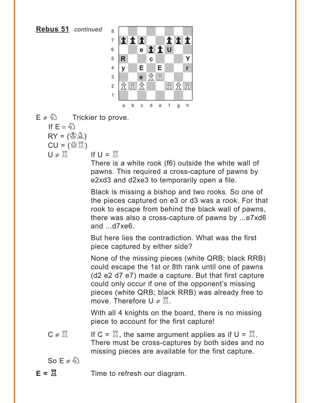**Rebus 51** *continued*



- $E \neq \hat{\varphi}$  Trickier to prove. If  $E = \mathcal{E}$ 
	- $RY = (\bigcircled{w} \mathring{A})$
	- $CU = (\mathcal{C} \times \mathbb{Z})$
	- $U \neq \overleftrightarrow{\Pi}$  If  $U = \overleftrightarrow{\Pi}$

There is a white rook (f6) outside the white wall of pawns. This required a cross-capture of pawns by e2xd3 and d2xe3 to temporarily open a file.

Black is missing a bishop and two rooks. So one of the pieces captured on e3 or d3 was a rook. For that rook to escape from behind the black wall of pawns, there was also a cross-capture of pawns by ...e7xd6 and ...d7xe6.

But here lies the contradiction. What was the first piece captured by either side?

None of the missing pieces (white QRB; black RRB) could escape the 1st or 8th rank until one of pawns (d2 e2 d7 e7) made a capture. But that first capture could only occur if one of the opponent's missing pieces (white QRB; black RRB) was already free to move. Therefore  $U \neq \overline{A}$ .

With all 4 knights on the board, there is no missing piece to account for the first capture!

 $C \neq \mathbb{Z}$  If  $C = \mathbb{Z}$ , the same argument applies as if  $U = \mathbb{Z}$ . There must be cross-captures by both sides and no missing pieces are available for the first capture.

So  $F \neq \hat{\varphi}$ 

 $E = \mathbb{Z}$  Time to refresh our diagram.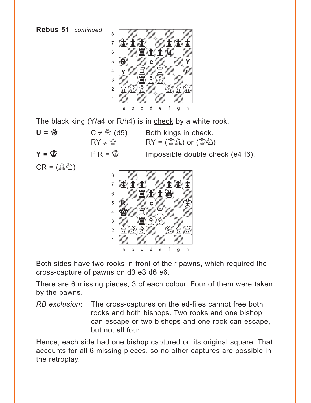**Rebus 51** *continued*



The black king (Y/a4 or R/h4) is in check by a white rook.

**U** =  $\mathbb{Q}$  **C**  $\neq$   $\mathbb{Q}$  (d5) Both kings in check.  $RY \neq \overset{M}{\oplus}$  RY = ( $\overset{m}{\oplus} \overset{m}{\oplus}$ ) or ( $\overset{m}{\oplus} \overset{m}{\oplus}$ )  $Y = \&$  If R =  $\&$  Impossible double check (e4 f6).  $CR = (\hat{\mathbb{A}}\hat{\mathbb{Z}})$ with the set of the set of the set of the set of the set of the set of the set of the set of the set of the set of the set of the set of the set of the set of the set of the set of the set of the set of the set of the set a **chunga a chunga a chunga a chunga a chunga a** 7 **and the Winter Point** 6 **MAE SER FRY**  $\overline{\mathbf{E}}$ 4 SWADAWA 3 W. C. ÛP)Pdw)P)] **R c r** 

Both sides have two rooks in front of their pawns, which required the cross-capture of pawns on d3 e3 d6 e6.

1 *Udwarddwrain ym y cyfei*riadau a b c d e f g h

There are 6 missing pieces, 3 of each colour. Four of them were taken by the pawns.

*RB exclusion*: The cross-captures on the ed-files cannot free both rooks and both bishops. Two rooks and one bishop can escape or two bishops and one rook can escape, but not all four.

Hence, each side had one bishop captured on its original square. That accounts for all 6 missing pieces, so no other captures are possible in the retroplay.